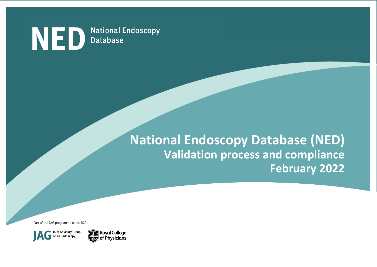

# **National Endoscopy Database (NED) Validation process and compliance February 2022**

Part of the JAG programme at the RCP



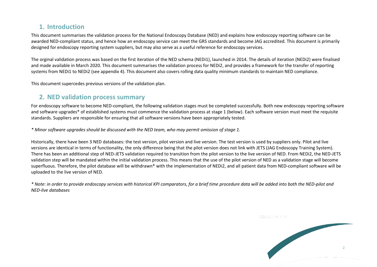### **1. Introduction**

This document summarises the validation process for the National Endoscopy Database (NED) and explains how endoscopy reporting software can be awarded NED-compliant status, and hence how an endoscopy service can meet the GRS standards and become JAG accredited. This document is primarily designed for endoscopy reporting system suppliers, but may also serve as a useful reference for endoscopy services.

The orginal validation process was based on the first iteration of the NED schema (NEDi1), launched in 2014. The details of iteration (NEDi2) were finalised and made available in March 2020. This document summarises the validation process for NEDi2, and provides a framework for the transfer of reporting systems from NEDi1 to NEDi2 (see appendix 4). This document also covers rolling data quality minimum standards to maintain NED compliance.

This document supercedes previous versions of the validation plan.

### **2. NED validation process summary**

For endoscopy software to become NED-compliant, the following validation stages must be completed successfully. Both new endoscopy reporting software and software upgrades\* of established systems must commence the validation process at stage 1 (below). Each software version must meet the requisite standards. Suppliers are responsible for ensuring that all software versions have been appropriately tested.

*\* Minor software upgrades should be discussed with the NED team, who may permit omission of stage 1.*

Historically, there have been 3 NED databases: the test version, pilot version and live version. The test version is used by suppliers only. Pilot and live versions are identical in terms of functionality, the only difference being that the pilot version does not link with JETS (JAG Endoscopy Training System). There has been an additional step of NED-JETS validation required to transition from the pilot version to the live version of NED. From NEDi2, the NED-JETS validation step will be mandated within the initial validation process. This means that the use of the pilot version of NED as a validation stage will become superfluous. Therefore, the pilot database will be withdrawn\* with the implementation of NEDi2, and all patient data from NED-compliant software will be uploaded to the live version of NED.

*\* Note: in order to provide endoscopy services with historical KPI comparators, for a brief time procedure data will be added into both the NED-pilot and NED-live databases* 

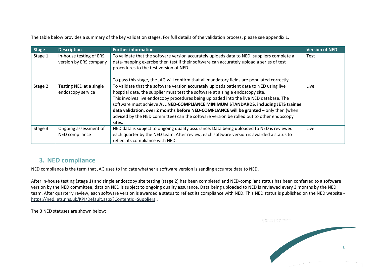The table below provides a summary of the key validation stages. For full details of the validation process, please see appendix 1.

| <b>Stage</b> | <b>Description</b>                                | <b>Further information</b>                                                                                                                                                                                                                                                                                                                                                                                                                                                                                                                               | <b>Version of NED</b> |
|--------------|---------------------------------------------------|----------------------------------------------------------------------------------------------------------------------------------------------------------------------------------------------------------------------------------------------------------------------------------------------------------------------------------------------------------------------------------------------------------------------------------------------------------------------------------------------------------------------------------------------------------|-----------------------|
| Stage 1      | In-house testing of ERS<br>version by ERS company | To validate that the software version accurately uploads data to NED, suppliers complete a<br>data-mapping exercise then test if their software can accurately upload a series of test<br>procedures to the test version of NED.                                                                                                                                                                                                                                                                                                                         | Test                  |
|              |                                                   | To pass this stage, the JAG will confirm that all mandatory fields are populated correctly.                                                                                                                                                                                                                                                                                                                                                                                                                                                              |                       |
| Stage 2      | Testing NED at a single<br>endoscopy service      | To validate that the software version accurately uploads patient data to NED using live<br>hosptial data, the supplier must test the software at a single endoscopy site.<br>This involves live endoscopy procedures being uploaded into the live NED database. The<br>software must achieve ALL NED-COMPLIANCE MINIMUM STANDARDS, including JETS trainee<br>data validation, over 2 months before NED-COMPLIANCE will be granted - only then (when<br>advised by the NED committee) can the software version be rolled out to other endoscopy<br>sites. | Live                  |
| Stage 3      | Ongoing assessment of<br>NED compliance           | NED data is subject to ongoing quality assurance. Data being uploaded to NED is reviewed<br>each quarter by the NED team. After review, each software version is awarded a status to<br>reflect its compliance with NED.                                                                                                                                                                                                                                                                                                                                 | Live                  |

### **3. NED compliance**

NED compliance is the term that JAG uses to indicate whether a software version is sending accurate data to NED.

After in-house testing (stage 1) and single endoscopy site testing (stage 2) has been completed and NED-compliant status has been conferred to a software version by the NED committee, data on NED is subject to ongoing quality assurance. Data being uploaded to NED is reviewed every 3 months by the NED team. After quarterly review, each software version is awarded a status to reflect its compliance with NED. This NED status is published on the NED website <https://ned.jets.nhs.uk/KPI/Default.aspx?ContentId=Suppliers> **.**

The 3 NED statuses are shown below:

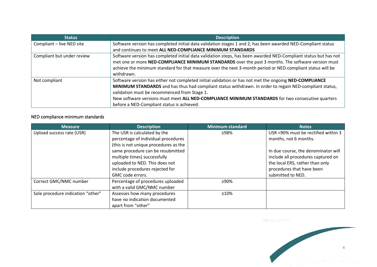| <b>Status</b>              | <b>Description</b>                                                                                              |
|----------------------------|-----------------------------------------------------------------------------------------------------------------|
| Compliant - live NED site  | Software version has completed initial data validation stages 1 and 2, has been awarded NED-Compliant status    |
|                            | and continues to meet ALL NED-COMPLIANCE MINIMUM STANDARDS                                                      |
| Compliant but under review | Software version has completed initial data validation steps, has been awarded NED-Compliant status but has not |
|                            | met one or more NED-COMPLIANCE MINIMUM STANDARDS over the past 3 months. The software version must              |
|                            | achieve the minimum standard for that measure over the next 3-month period or NED-compliant status will be      |
|                            | withdrawn.                                                                                                      |
| Not compliant              | Software version has either not completed initial validation or has not met the ongoing NED-COMPLIANCE          |
|                            | MINIMUM STANDARDS and has thus had compliant status withdrawn. In order to regain NED-compliant status,         |
|                            | validation must be recommenced from Stage 1.                                                                    |
|                            | New software versions must meet ALL NED-COMPLIANCE MINIMUM STANDARDS for two consecutive quarters               |
|                            | before a NED-Compliant status is achieved.                                                                      |

#### NED compliance minimum standards

| Measure                           | <b>Description</b>                    | <b>Minimum standard</b> | Notes                               |
|-----------------------------------|---------------------------------------|-------------------------|-------------------------------------|
| Upload success rate (USR)         | The USR is calculated by the          | ≥98%                    | USR <90% must be rectified within 3 |
|                                   | percentage of individual procedures   |                         | months, not 6 months.               |
|                                   | (this is not unique procedures as the |                         |                                     |
|                                   | same procedure can be resubmitted     |                         | In due course, the denominator will |
|                                   | multiple times) successfully          |                         | include all procedures captured on  |
|                                   | uploaded to NED. This does not        |                         | the local ERS, rather than only     |
|                                   | include procedures rejected for       |                         | procedures that have been           |
|                                   | GMC code errors.                      |                         | submitted to NED.                   |
| Correct GMC/NMC number            | Percentage of procedures uploaded     | ≥90%                    |                                     |
|                                   | with a valid GMC/NMC number           |                         |                                     |
| Sole procedure indication "other" | Assesses how many procedures          | $\leq 10\%$             |                                     |
|                                   | have no indication documented         |                         |                                     |
|                                   | apart from "other"                    |                         |                                     |

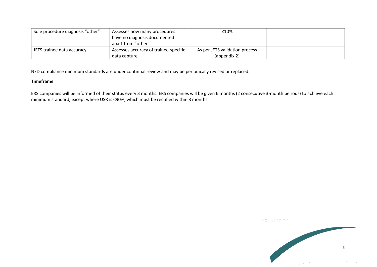| Sole procedure diagnosis "other" | Assesses how many procedures<br>have no diagnosis documented<br>apart from "other" | ≤10%                                           |  |
|----------------------------------|------------------------------------------------------------------------------------|------------------------------------------------|--|
| JETS trainee data accuracy       | Assesses accuracy of trainee-specific<br>data capture                              | As per JETS validation process<br>(appendix 2) |  |

NED compliance minimum standards are under continual review and may be periodically revised or replaced.

#### **Timeframe**

ERS companies will be informed of their status every 3 months. ERS companies will be given 6 months (2 consecutive 3-month periods) to achieve each minimum standard, except where USR is <90%, which must be rectified within 3 months.

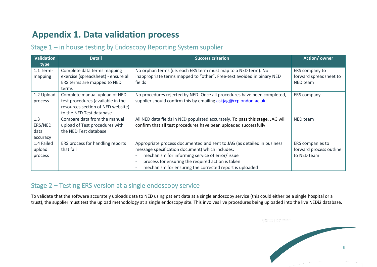## **Appendix 1. Data validation process**

### Stage 1 – in house testing by Endoscopy Reporting System supplier

| <b>Validation</b> | <b>Detail</b>                       | <b>Success criterion</b>                                                      | <b>Action/owner</b>     |
|-------------------|-------------------------------------|-------------------------------------------------------------------------------|-------------------------|
| type              |                                     |                                                                               |                         |
| 1.1 Term-         | Complete data terms mapping         | No orphan terms (i.e. each ERS term must map to a NED term). No               | ERS company to          |
| mapping           | exercise (spreadsheet) - ensure all | inappropriate terms mapped to "other". Free-text avoided in binary NED        | forward spreadsheet to  |
|                   | ERS terms are mapped to NED         | fields                                                                        | NED team                |
|                   | terms                               |                                                                               |                         |
| 1.2 Upload        | Complete manual upload of NED       | No procedures rejected by NED. Once all procedures have been completed,       | ERS company             |
| process           | test procedures (available in the   | supplier should confirm this by emailing askiag@rcplondon.ac.uk               |                         |
|                   | resources section of NED website)   |                                                                               |                         |
|                   | to the NED Test database            |                                                                               |                         |
| 1.3               | Compare data from the manual        | All NED data fields in NED populated accurately. To pass this stage, JAG will | NED team                |
| ERS/NED           | upload of Test procedures with      | confirm that all test procedures have been uploaded successfully.             |                         |
| data              | the NED Test database               |                                                                               |                         |
| accuracy          |                                     |                                                                               |                         |
| 1.4 Failed        | ERS process for handling reports    | Appropriate process documented and sent to JAG (as detailed in business       | ERS companies to        |
| upload            | that fail                           | message specification document) which includes:                               | forward process outline |
| process           |                                     | mechanism for informing service of error/ issue                               | to NED team             |
|                   |                                     | process for ensuring the required action is taken                             |                         |
|                   |                                     | mechanism for ensuring the corrected report is uploaded                       |                         |

### Stage 2 – Testing ERS version at a single endoscopy service

To validate that the software accurately uploads data to NED using patient data at a single endoscopy service (this could either be a single hospital or a trust), the supplier must test the upload methodology at a single endoscopy site. This involves live procedures being uploaded into the live NEDi2 database.

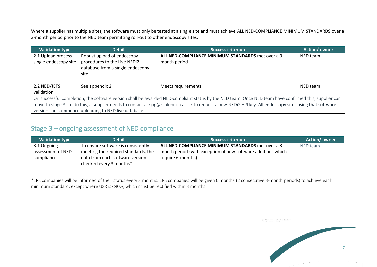Where a supplier has multiple sites, the software must only be tested at a single site and must achieve ALL NED-COMPLIANCE MINIMUM STANDARDS over a 3-month period prior to the NED team permitting roll-out to other endoscopy sites.

| <b>Validation type</b>                                                                                                                                  | <b>Detail</b>                                                                                  | <b>Success criterion</b>                                           | Action/owner |  |
|---------------------------------------------------------------------------------------------------------------------------------------------------------|------------------------------------------------------------------------------------------------|--------------------------------------------------------------------|--------------|--|
| 2.1 Upload process $-$<br>single endoscopy site                                                                                                         | Robust upload of endoscopy<br>procedures to the Live NEDi2<br>database from a single endoscopy | ALL NED-COMPLIANCE MINIMUM STANDARDS met over a 3-<br>month period | NED team     |  |
|                                                                                                                                                         | site.                                                                                          |                                                                    |              |  |
| 2.2 NED/JETS                                                                                                                                            | See appendix 2                                                                                 | Meets requirements                                                 | NED team     |  |
| validation                                                                                                                                              |                                                                                                |                                                                    |              |  |
| On successful completion, the software version shall be awarded NED-compliant status by the NED team. Once NED team have confirmed this, supplier can   |                                                                                                |                                                                    |              |  |
| move to stage 3. To do this, a supplier needs to contact askjag@rcplondon.ac.uk to request a new NEDi2 API key. All endoscopy sites using that software |                                                                                                |                                                                    |              |  |
| version can commence uploading to NED live database.                                                                                                    |                                                                                                |                                                                    |              |  |

### Stage 3 – ongoing assessment of NED compliance

| <b>Validation type</b> | <b>Detail</b>                       | <b>Success criterion</b>                                     | Action/owner |
|------------------------|-------------------------------------|--------------------------------------------------------------|--------------|
| 3.1 Ongoing            | To ensure software is consistently  | <b>ALL NED-COMPLIANCE MINIMUM STANDARDS</b> met over a 3-    | NED team     |
| assessment of NED      | meeting the required standards, the | month period (with exception of new software additions which |              |
| compliance             | data from each software version is  | require 6-months)                                            |              |
|                        | checked every 3 months*             |                                                              |              |

\*ERS companies will be informed of their status every 3 months. ERS companies will be given 6 months (2 consecutive 3-month periods) to achieve each minimum standard, except where USR is <90%, which must be rectified within 3 months.

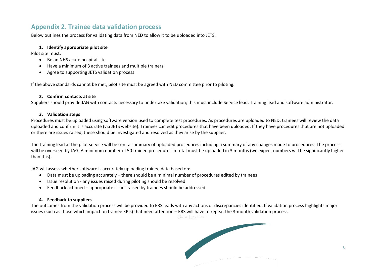### **Appendix 2. Trainee data validation process**

Below outlines the process for validating data from NED to allow it to be uploaded into JETS.

#### **1. Identify appropriate pilot site**

Pilot site must:

- Be an NHS acute hospital site
- Have a minimum of 3 active trainees and multiple trainers
- Agree to supporting JETS validation process

If the above standards cannot be met, pilot site must be agreed with NED committee prior to piloting.

#### **2. Confirm contacts at site**

Suppliers should provide JAG with contacts necessary to undertake validation; this must include Service lead, Training lead and software administrator.

#### **3. Validation steps**

Procedures must be uploaded using software version used to complete test procedures. As procedures are uploaded to NED, trainees will review the data uploaded and confirm it is accurate (via JETS website). Trainees can edit procedures that have been uploaded. If they have procedures that are not uploaded or there are issues raised, these should be investigated and resolved as they arise by the supplier.

The training lead at the pilot service will be sent a summary of uploaded procedures including a summary of any changes made to procedures. The process will be overseen by JAG. A minimum number of 50 trainee procedures in total must be uploaded in 3 months (we expect numbers will be significantly higher than this).

JAG will assess whether software is accurately uploading trainee data based on:

- Data must be uploading accurately there should be a minimal number of procedures edited by trainees
- Issue resolution any issues raised during piloting should be resolved
- Feedback actioned appropriate issues raised by trainees should be addressed

#### **4. Feedback to suppliers**

The outcomes from the validation process will be provided to ERS leads with any actions or discrepancies identified. If validation process highlights major issues (such as those which impact on trainee KPIs) that need attention – ERS will have to repeat the 3-month validation process.